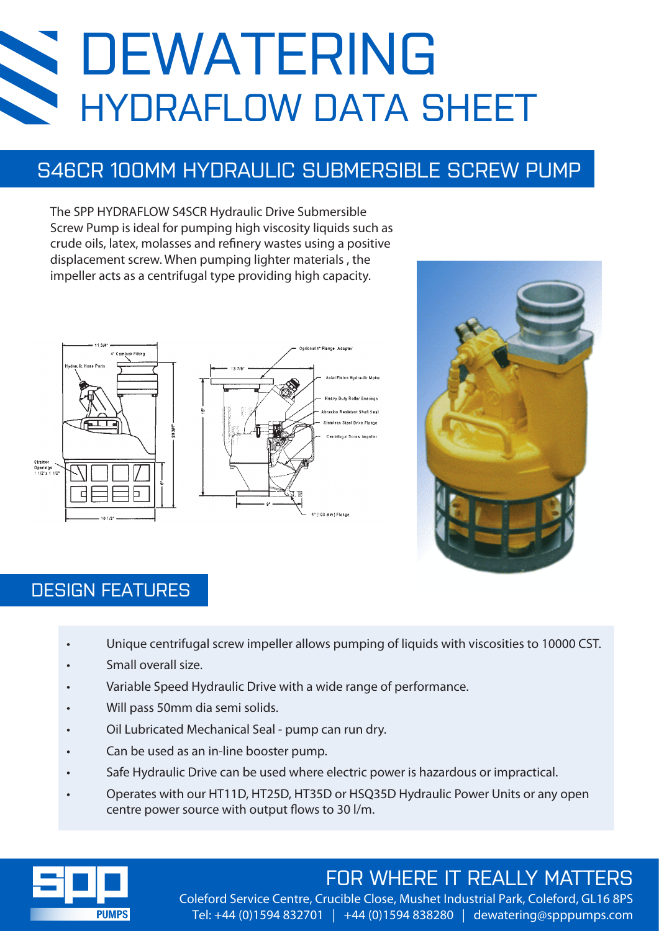# DEWATERING HYDRAFLOW DATA SHEET

### S46CR 100MM HYDRAULIC SUBMERSIBLE SCREW PUMP

The SPP HYDRAFLOW S4SCR Hydraulic Drive Submersible Screw Pump is ideal for pumping high viscosity liquids such as crude oils, latex, molasses and refinery wastes using a positive displacement screw. When pumping lighter materials , the impeller acts as a centrifugal type providing high capacity.





#### DESIGN FEATURES

- Unique centrifugal screw impeller allows pumping of liquids with viscosities to 10000 CST.
- Small overall size.
- Variable Speed Hydraulic Drive with a wide range of performance.
- Will pass 50mm dia semi solids.
- Oil Lubricated Mechanical Seal pump can run dry.
- Can be used as an in-line booster pump.
- Safe Hydraulic Drive can be used where electric power is hazardous or impractical.
- Operates with our HT11D, HT25D, HT35D or HSQ35D Hydraulic Power Units or any open centre power source with output flows to 30 l/m.



## FOR WHERE IT REALLY MATTERS

Coleford Service Centre, Crucible Close, Mushet Industrial Park, Coleford, GL16 8PS Tel: +44 (0)1594 832701 | +44 (0)1594 838280 | dewatering@spppumps.com